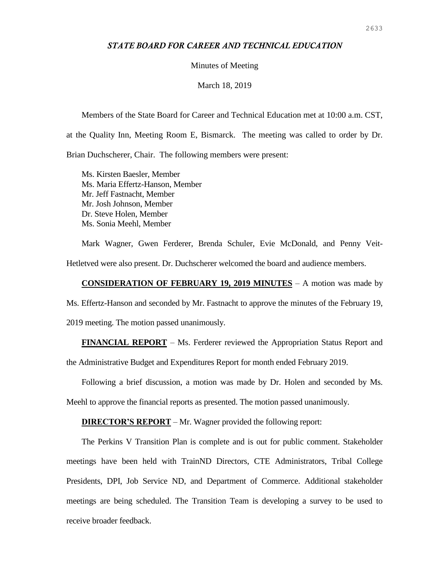# *STATE BOARD FOR CAREER AND TECHNICAL EDUCATION*

## Minutes of Meeting

## March 18, 2019

Members of the State Board for Career and Technical Education met at 10:00 a.m. CST, at the Quality Inn, Meeting Room E, Bismarck. The meeting was called to order by Dr. Brian Duchscherer, Chair. The following members were present:

Ms. Kirsten Baesler, Member Ms. Maria Effertz-Hanson, Member Mr. Jeff Fastnacht, Member Mr. Josh Johnson, Member Dr. Steve Holen, Member Ms. Sonia Meehl, Member

Mark Wagner, Gwen Ferderer, Brenda Schuler, Evie McDonald, and Penny Veit-Hetletved were also present. Dr. Duchscherer welcomed the board and audience members.

#### **CONSIDERATION OF FEBRUARY 19, 2019 MINUTES** – A motion was made by

Ms. Effertz-Hanson and seconded by Mr. Fastnacht to approve the minutes of the February 19,

2019 meeting. The motion passed unanimously.

**FINANCIAL REPORT** – Ms. Ferderer reviewed the Appropriation Status Report and

the Administrative Budget and Expenditures Report for month ended February 2019.

Following a brief discussion, a motion was made by Dr. Holen and seconded by Ms.

Meehl to approve the financial reports as presented. The motion passed unanimously.

## **DIRECTOR'S REPORT** – Mr. Wagner provided the following report:

The Perkins V Transition Plan is complete and is out for public comment. Stakeholder meetings have been held with TrainND Directors, CTE Administrators, Tribal College Presidents, DPI, Job Service ND, and Department of Commerce. Additional stakeholder meetings are being scheduled. The Transition Team is developing a survey to be used to receive broader feedback.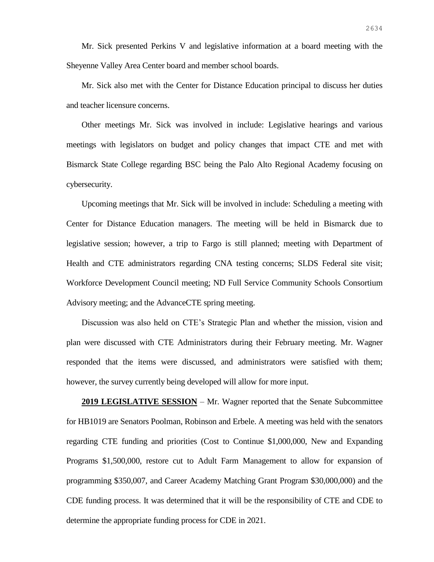Mr. Sick presented Perkins V and legislative information at a board meeting with the Sheyenne Valley Area Center board and member school boards.

Mr. Sick also met with the Center for Distance Education principal to discuss her duties and teacher licensure concerns.

Other meetings Mr. Sick was involved in include: Legislative hearings and various meetings with legislators on budget and policy changes that impact CTE and met with Bismarck State College regarding BSC being the Palo Alto Regional Academy focusing on cybersecurity.

Upcoming meetings that Mr. Sick will be involved in include: Scheduling a meeting with Center for Distance Education managers. The meeting will be held in Bismarck due to legislative session; however, a trip to Fargo is still planned; meeting with Department of Health and CTE administrators regarding CNA testing concerns; SLDS Federal site visit; Workforce Development Council meeting; ND Full Service Community Schools Consortium Advisory meeting; and the AdvanceCTE spring meeting.

Discussion was also held on CTE's Strategic Plan and whether the mission, vision and plan were discussed with CTE Administrators during their February meeting. Mr. Wagner responded that the items were discussed, and administrators were satisfied with them; however, the survey currently being developed will allow for more input.

**2019 LEGISLATIVE SESSION** – Mr. Wagner reported that the Senate Subcommittee for HB1019 are Senators Poolman, Robinson and Erbele. A meeting was held with the senators regarding CTE funding and priorities (Cost to Continue \$1,000,000, New and Expanding Programs \$1,500,000, restore cut to Adult Farm Management to allow for expansion of programming \$350,007, and Career Academy Matching Grant Program \$30,000,000) and the CDE funding process. It was determined that it will be the responsibility of CTE and CDE to determine the appropriate funding process for CDE in 2021.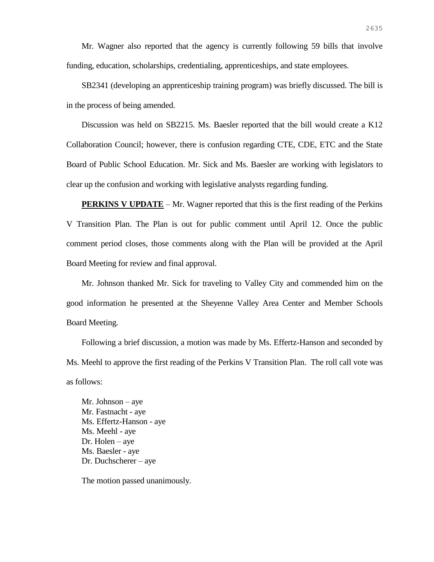Mr. Wagner also reported that the agency is currently following 59 bills that involve funding, education, scholarships, credentialing, apprenticeships, and state employees.

SB2341 (developing an apprenticeship training program) was briefly discussed. The bill is in the process of being amended.

Discussion was held on SB2215. Ms. Baesler reported that the bill would create a K12 Collaboration Council; however, there is confusion regarding CTE, CDE, ETC and the State Board of Public School Education. Mr. Sick and Ms. Baesler are working with legislators to clear up the confusion and working with legislative analysts regarding funding.

**PERKINS V UPDATE** – Mr. Wagner reported that this is the first reading of the Perkins V Transition Plan. The Plan is out for public comment until April 12. Once the public comment period closes, those comments along with the Plan will be provided at the April Board Meeting for review and final approval.

Mr. Johnson thanked Mr. Sick for traveling to Valley City and commended him on the good information he presented at the Sheyenne Valley Area Center and Member Schools Board Meeting.

Following a brief discussion, a motion was made by Ms. Effertz-Hanson and seconded by Ms. Meehl to approve the first reading of the Perkins V Transition Plan. The roll call vote was as follows:

Mr. Johnson – aye Mr. Fastnacht - aye Ms. Effertz-Hanson - aye Ms. Meehl - aye Dr. Holen – aye Ms. Baesler - aye Dr. Duchscherer – aye

The motion passed unanimously.